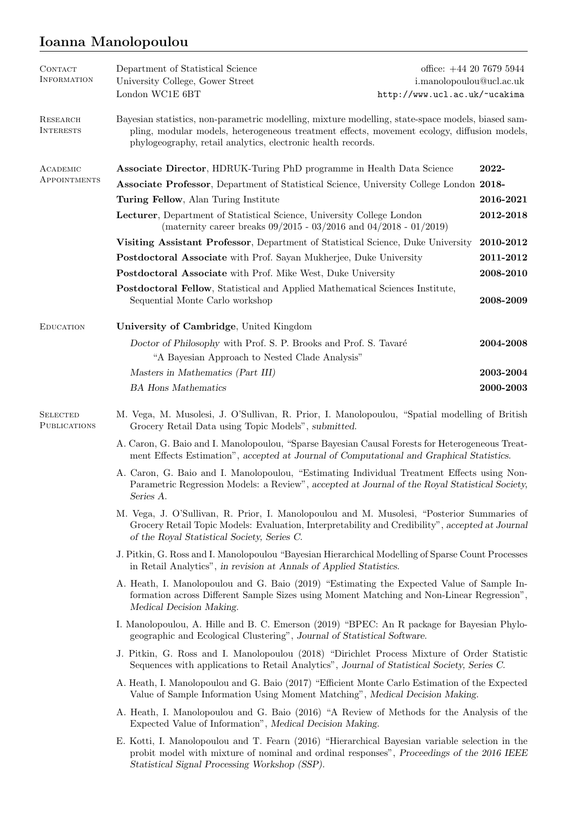## Ioanna Manolopoulou

| <b>CONTACT</b><br><b>INFORMATION</b>   | Department of Statistical Science<br>University College, Gower Street<br>London WC1E 6BT                                                                                                                                                                         | office: $+44$ 20 7679 5944<br>i.manolopoulou@ucl.ac.uk<br>http://www.ucl.ac.uk/~ucakima |  |
|----------------------------------------|------------------------------------------------------------------------------------------------------------------------------------------------------------------------------------------------------------------------------------------------------------------|-----------------------------------------------------------------------------------------|--|
| <b>RESEARCH</b><br><b>INTERESTS</b>    | Bayesian statistics, non-parametric modelling, mixture modelling, state-space models, biased sam-<br>pling, modular models, heterogeneous treatment effects, movement ecology, diffusion models,<br>phylogeography, retail analytics, electronic health records. |                                                                                         |  |
| ACADEMIC                               | <b>Associate Director, HDRUK-Turing PhD programme in Health Data Science</b>                                                                                                                                                                                     | 2022-                                                                                   |  |
| APPOINTMENTS                           | Associate Professor, Department of Statistical Science, University College London 2018-                                                                                                                                                                          |                                                                                         |  |
|                                        | Turing Fellow, Alan Turing Institute                                                                                                                                                                                                                             |                                                                                         |  |
|                                        | Lecturer, Department of Statistical Science, University College London<br>(maternity career breaks $09/2015$ - $03/2016$ and $04/2018$ - $01/2019$ )                                                                                                             | 2012-2018                                                                               |  |
|                                        | Visiting Assistant Professor, Department of Statistical Science, Duke University                                                                                                                                                                                 | 2010-2012                                                                               |  |
|                                        | Postdoctoral Associate with Prof. Sayan Mukherjee, Duke University                                                                                                                                                                                               | 2011-2012                                                                               |  |
|                                        | Postdoctoral Associate with Prof. Mike West, Duke University                                                                                                                                                                                                     | 2008-2010                                                                               |  |
|                                        | Postdoctoral Fellow, Statistical and Applied Mathematical Sciences Institute,<br>Sequential Monte Carlo workshop                                                                                                                                                 | 2008-2009                                                                               |  |
| <b>EDUCATION</b>                       | University of Cambridge, United Kingdom                                                                                                                                                                                                                          |                                                                                         |  |
|                                        | Doctor of Philosophy with Prof. S. P. Brooks and Prof. S. Tavaré<br>"A Bayesian Approach to Nested Clade Analysis"                                                                                                                                               | 2004-2008                                                                               |  |
|                                        | Masters in Mathematics (Part III)                                                                                                                                                                                                                                | 2003-2004                                                                               |  |
|                                        | <b>BA</b> Hons Mathematics                                                                                                                                                                                                                                       | 2000-2003                                                                               |  |
| <b>SELECTED</b><br><b>PUBLICATIONS</b> | M. Vega, M. Musolesi, J. O'Sullivan, R. Prior, I. Manolopoulou, "Spatial modelling of British<br>Grocery Retail Data using Topic Models", submitted.                                                                                                             |                                                                                         |  |
|                                        | A. Caron, G. Baio and I. Manolopoulou, "Sparse Bayesian Causal Forests for Heterogeneous Treat-<br>ment Effects Estimation", accepted at Journal of Computational and Graphical Statistics.                                                                      |                                                                                         |  |
|                                        | A. Caron, G. Baio and I. Manolopoulou, "Estimating Individual Treatment Effects using Non-<br>Parametric Regression Models: a Review", accepted at Journal of the Royal Statistical Society,<br>Series A.                                                        |                                                                                         |  |
|                                        | M. Vega, J. O'Sullivan, R. Prior, I. Manolopoulou and M. Musolesi, "Posterior Summaries of<br>Grocery Retail Topic Models: Evaluation, Interpretability and Credibility", accepted at Journal<br>of the Royal Statistical Society, Series C.                     |                                                                                         |  |
|                                        | J. Pitkin, G. Ross and I. Manolopoulou "Bayesian Hierarchical Modelling of Sparse Count Processes<br>in Retail Analytics", in revision at Annals of Applied Statistics.                                                                                          |                                                                                         |  |
|                                        | A. Heath, I. Manolopoulou and G. Baio (2019) "Estimating the Expected Value of Sample In-<br>formation across Different Sample Sizes using Moment Matching and Non-Linear Regression",<br>Medical Decision Making.                                               |                                                                                         |  |
|                                        | I. Manolopoulou, A. Hille and B. C. Emerson (2019) "BPEC: An R package for Bayesian Phylo-<br>geographic and Ecological Clustering", Journal of Statistical Software.                                                                                            |                                                                                         |  |
|                                        | J. Pitkin, G. Ross and I. Manolopoulou (2018) "Dirichlet Process Mixture of Order Statistic<br>Sequences with applications to Retail Analytics", Journal of Statistical Society, Series C.                                                                       |                                                                                         |  |
|                                        | A. Heath, I. Manolopoulou and G. Baio (2017) "Efficient Monte Carlo Estimation of the Expected<br>Value of Sample Information Using Moment Matching", Medical Decision Making.                                                                                   |                                                                                         |  |
|                                        | A. Heath, I. Manolopoulou and G. Baio (2016) "A Review of Methods for the Analysis of the<br>Expected Value of Information", Medical Decision Making.                                                                                                            |                                                                                         |  |
|                                        | E. Kotti, I. Manolopoulou and T. Fearn (2016) "Hierarchical Bayesian variable selection in the<br>probit model with mixture of nominal and ordinal responses", Proceedings of the 2016 IEEE<br>Statistical Signal Processing Workshop (SSP).                     |                                                                                         |  |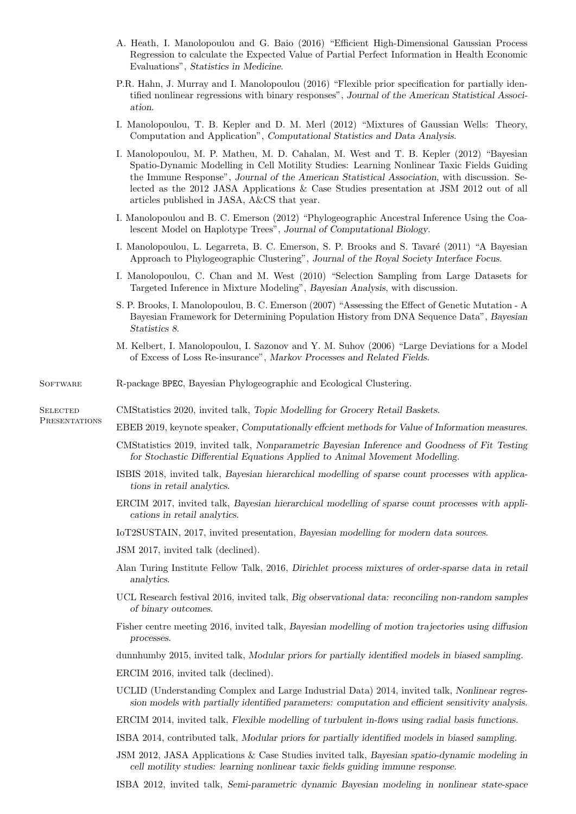- A. Heath, I. Manolopoulou and G. Baio (2016) "Efficient High-Dimensional Gaussian Process Regression to calculate the Expected Value of Partial Perfect Information in Health Economic Evaluations", Statistics in Medicine.
- P.R. Hahn, J. Murray and I. Manolopoulou (2016) "Flexible prior specification for partially identified nonlinear regressions with binary responses", Journal of the American Statistical Association.
- I. Manolopoulou, T. B. Kepler and D. M. Merl (2012) "Mixtures of Gaussian Wells: Theory, Computation and Application", Computational Statistics and Data Analysis.
- I. Manolopoulou, M. P. Matheu, M. D. Cahalan, M. West and T. B. Kepler (2012) "Bayesian Spatio-Dynamic Modelling in Cell Motility Studies: Learning Nonlinear Taxic Fields Guiding the Immune Response", Journal of the American Statistical Association, with discussion. Selected as the 2012 JASA Applications & Case Studies presentation at JSM 2012 out of all articles published in JASA, A&CS that year.
- I. Manolopoulou and B. C. Emerson (2012) "Phylogeographic Ancestral Inference Using the Coalescent Model on Haplotype Trees", Journal of Computational Biology.
- I. Manolopoulou, L. Legarreta, B. C. Emerson, S. P. Brooks and S. Tavaré (2011) "A Bayesian Approach to Phylogeographic Clustering", Journal of the Royal Society Interface Focus.
- I. Manolopoulou, C. Chan and M. West (2010) "Selection Sampling from Large Datasets for Targeted Inference in Mixture Modeling", Bayesian Analysis, with discussion.
- S. P. Brooks, I. Manolopoulou, B. C. Emerson (2007) "Assessing the Effect of Genetic Mutation A Bayesian Framework for Determining Population History from DNA Sequence Data", Bayesian Statistics 8.
- M. Kelbert, I. Manolopoulou, I. Sazonov and Y. M. Suhov (2006) "Large Deviations for a Model of Excess of Loss Re-insurance", Markov Processes and Related Fields.
- SOFTWARE R-package BPEC, Bayesian Phylogeographic and Ecological Clustering.

**SELECTED PRESENTATIONS** 

- CMStatistics 2020, invited talk, Topic Modelling for Grocery Retail Baskets.
	- EBEB 2019, keynote speaker, Computationally effcient methods for Value of Information measures.
		- CMStatistics 2019, invited talk, Nonparametric Bayesian Inference and Goodness of Fit Testing for Stochastic Differential Equations Applied to Animal Movement Modelling.
		- ISBIS 2018, invited talk, Bayesian hierarchical modelling of sparse count processes with applications in retail analytics.
		- ERCIM 2017, invited talk, Bayesian hierarchical modelling of sparse count processes with applications in retail analytics.
		- IoT2SUSTAIN, 2017, invited presentation, Bayesian modelling for modern data sources.
		- JSM 2017, invited talk (declined).
		- Alan Turing Institute Fellow Talk, 2016, Dirichlet process mixtures of order-sparse data in retail analytics.
		- UCL Research festival 2016, invited talk, Big observational data: reconciling non-random samples of binary outcomes.
		- Fisher centre meeting 2016, invited talk, Bayesian modelling of motion trajectories using diffusion processes.

dunnhumby 2015, invited talk, Modular priors for partially identified models in biased sampling.

- ERCIM 2016, invited talk (declined).
- UCLID (Understanding Complex and Large Industrial Data) 2014, invited talk, Nonlinear regression models with partially identified parameters: computation and efficient sensitivity analysis.
- ERCIM 2014, invited talk, Flexible modelling of turbulent in-flows using radial basis functions.
- ISBA 2014, contributed talk, Modular priors for partially identified models in biased sampling.
- JSM 2012, JASA Applications & Case Studies invited talk, Bayesian spatio-dynamic modeling in cell motility studies: learning nonlinear taxic fields guiding immune response.
- ISBA 2012, invited talk, Semi-parametric dynamic Bayesian modeling in nonlinear state-space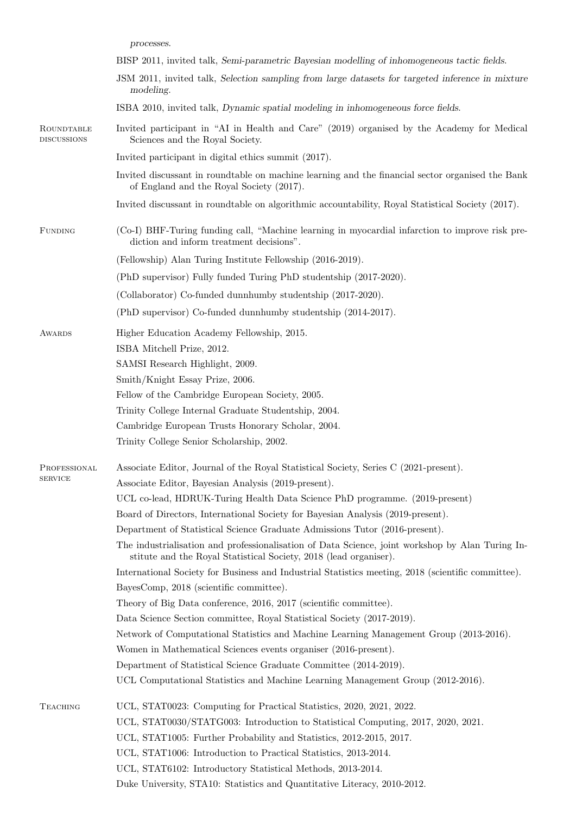processes.

|                                  | BISP 2011, invited talk, Semi-parametric Bayesian modelling of inhomogeneous tactic fields.                                                                           |  |
|----------------------------------|-----------------------------------------------------------------------------------------------------------------------------------------------------------------------|--|
|                                  | JSM 2011, invited talk, Selection sampling from large datasets for targeted inference in mixture<br>modeling.                                                         |  |
|                                  | ISBA 2010, invited talk, Dynamic spatial modeling in inhomogeneous force fields.                                                                                      |  |
| ROUNDTABLE<br><b>DISCUSSIONS</b> | Invited participant in "AI in Health and Care" (2019) organised by the Academy for Medical<br>Sciences and the Royal Society.                                         |  |
|                                  | Invited participant in digital ethics summit (2017).                                                                                                                  |  |
|                                  | Invited discussant in roundtable on machine learning and the financial sector organised the Bank<br>of England and the Royal Society (2017).                          |  |
|                                  | Invited discussant in roundtable on algorithmic accountability, Royal Statistical Society (2017).                                                                     |  |
| <b>FUNDING</b>                   | (Co-I) BHF-Turing funding call, "Machine learning in myocardial infarction to improve risk pre-<br>diction and inform treatment decisions".                           |  |
|                                  | (Fellowship) Alan Turing Institute Fellowship (2016-2019).                                                                                                            |  |
|                                  | (PhD supervisor) Fully funded Turing PhD studentship (2017-2020).                                                                                                     |  |
|                                  | (Collaborator) Co-funded dunnhumby studentship (2017-2020).                                                                                                           |  |
|                                  | (PhD supervisor) Co-funded dunnhumby studentship (2014-2017).                                                                                                         |  |
|                                  |                                                                                                                                                                       |  |
| AWARDS                           | Higher Education Academy Fellowship, 2015.                                                                                                                            |  |
|                                  | ISBA Mitchell Prize, 2012.                                                                                                                                            |  |
|                                  | SAMSI Research Highlight, 2009.                                                                                                                                       |  |
|                                  | Smith/Knight Essay Prize, 2006.                                                                                                                                       |  |
|                                  | Fellow of the Cambridge European Society, 2005.<br>Trinity College Internal Graduate Studentship, 2004.                                                               |  |
|                                  |                                                                                                                                                                       |  |
|                                  | Cambridge European Trusts Honorary Scholar, 2004.                                                                                                                     |  |
|                                  | Trinity College Senior Scholarship, 2002.                                                                                                                             |  |
| PROFESSIONAL                     | Associate Editor, Journal of the Royal Statistical Society, Series C (2021-present).                                                                                  |  |
| <b>SERVICE</b>                   | Associate Editor, Bayesian Analysis (2019-present).                                                                                                                   |  |
|                                  | UCL co-lead, HDRUK-Turing Health Data Science PhD programme. (2019-present)                                                                                           |  |
|                                  | Board of Directors, International Society for Bayesian Analysis (2019-present).                                                                                       |  |
|                                  | Department of Statistical Science Graduate Admissions Tutor (2016-present).                                                                                           |  |
|                                  | The industrialisation and professionalisation of Data Science, joint workshop by Alan Turing In-<br>stitute and the Royal Statistical Society, 2018 (lead organiser). |  |
|                                  | International Society for Business and Industrial Statistics meeting, 2018 (scientific committee).                                                                    |  |
|                                  | BayesComp, 2018 (scientific committee).                                                                                                                               |  |
|                                  | Theory of Big Data conference, 2016, 2017 (scientific committee).                                                                                                     |  |
|                                  | Data Science Section committee, Royal Statistical Society (2017-2019).                                                                                                |  |
|                                  | Network of Computational Statistics and Machine Learning Management Group (2013-2016).                                                                                |  |
|                                  | Women in Mathematical Sciences events organiser (2016-present).                                                                                                       |  |
|                                  | Department of Statistical Science Graduate Committee (2014-2019).                                                                                                     |  |
|                                  | UCL Computational Statistics and Machine Learning Management Group (2012-2016).                                                                                       |  |
| <b>TEACHING</b>                  | UCL, STAT0023: Computing for Practical Statistics, 2020, 2021, 2022.                                                                                                  |  |
|                                  | UCL, STAT0030/STATG003: Introduction to Statistical Computing, 2017, 2020, 2021.                                                                                      |  |
|                                  | UCL, STAT1005: Further Probability and Statistics, 2012-2015, 2017.                                                                                                   |  |
|                                  | UCL, STAT1006: Introduction to Practical Statistics, 2013-2014.                                                                                                       |  |
|                                  |                                                                                                                                                                       |  |
|                                  | UCL, STAT6102: Introductory Statistical Methods, 2013-2014.                                                                                                           |  |